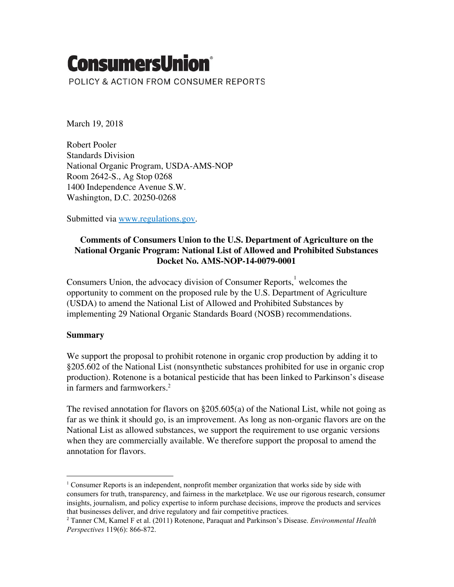# **ConsumersUnion**®

POLICY & ACTION FROM CONSUMER REPORTS

March 19, 2018

Robert Pooler Standards Division National Organic Program, USDA-AMS-NOP Room 2642-S., Ag Stop 0268 1400 Independence Avenue S.W. Washington, D.C. 20250-0268

Submitted via [www.regulations.gov](http://www.regulations.gov/).

## **Comments of Consumers Union to the U.S. Department of Agriculture on the National Organic Program: National List of Allowed and Prohibited Substances Docket No. AMS-NOP-14-0079-0001**

Consumers Union, the advocacy division of Consumer Reports, welcomes the opportunity to comment on the proposed rule by the U.S. Department of Agriculture (USDA) to amend the National List of Allowed and Prohibited Substances by implementing 29 National Organic Standards Board (NOSB) recommendations.

## **Summary**

We support the proposal to prohibit rotenone in organic crop production by adding it to §205.602 of the National List (nonsynthetic substances prohibited for use in organic crop production). Rotenone is a botanical pesticide that has been linked to Parkinson's disease in farmers and farmworkers. 2

The revised annotation for flavors on  $\S 205.605(a)$  of the National List, while not going as far as we think it should go, is an improvement. As long as non-organic flavors are on the National List as allowed substances, we support the requirement to use organic versions when they are commercially available. We therefore support the proposal to amend the annotation for flavors.

<sup>&</sup>lt;sup>1</sup> Consumer Reports is an independent, nonprofit member organization that works side by side with consumers for truth, transparency, and fairness in the marketplace. We use our rigorous research, consumer insights, journalism, and policy expertise to inform purchase decisions, improve the products and services that businesses deliver, and drive regulatory and fair competitive practices.

<sup>2</sup> Tanner CM, Kamel F et al. (2011) Rotenone, Paraquat and Parkinson's Disease. *Environmental Health Perspectives* 119(6): 866-872.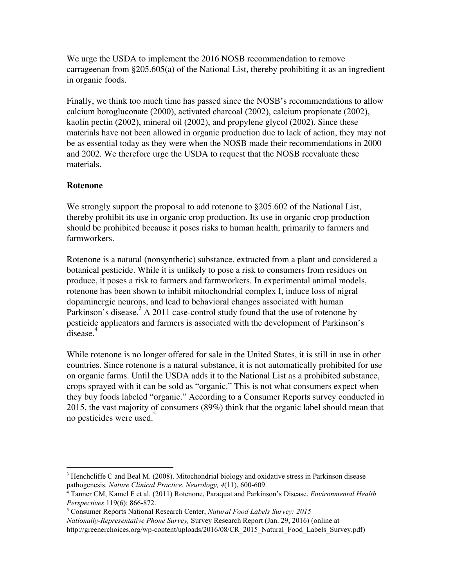We urge the USDA to implement the 2016 NOSB recommendation to remove carrageenan from §205.605(a) of the National List, thereby prohibiting it as an ingredient in organic foods.

Finally, we think too much time has passed since the NOSB's recommendations to allow calcium borogluconate (2000), activated charcoal (2002), calcium propionate (2002), kaolin pectin (2002), mineral oil (2002), and propylene glycol (2002). Since these materials have not been allowed in organic production due to lack of action, they may not be as essential today as they were when the NOSB made their recommendations in 2000 and 2002. We therefore urge the USDA to request that the NOSB reevaluate these materials.

## **Rotenone**

We strongly support the proposal to add rotenone to  $\S 205.602$  of the National List, thereby prohibit its use in organic crop production. Its use in organic crop production should be prohibited because it poses risks to human health, primarily to farmers and farmworkers.

Rotenone is a natural (nonsynthetic) substance, extracted from a plant and considered a botanical pesticide. While it is unlikely to pose a risk to consumers from residues on produce, it poses a risk to farmers and farmworkers. In experimental animal models, rotenone has been shown to inhibit mitochondrial complex I, induce loss of nigral dopaminergic neurons, and lead to behavioral changes associated with human Parkinson's disease.  $A$  2011 case-control study found that the use of rotenone by pesticide applicators and farmers is associated with the development of Parkinson's disease.<sup>4</sup>

While rotenone is no longer offered for sale in the United States, it is still in use in other countries. Since rotenone is a natural substance, it is not automatically prohibited for use on organic farms. Until the USDA adds it to the National List as a prohibited substance, crops sprayed with it can be sold as "organic." This is not what consumers expect when they buy foods labeled "organic." According to a Consumer Reports survey conducted in 2015, the vast majority of consumers (89%) think that the organic label should mean that no pesticides were used. 5

<sup>&</sup>lt;sup>3</sup> Henchcliffe C and Beal M. (2008). Mitochondrial biology and oxidative stress in Parkinson disease pathogenesis. *Nature Clinical Practice. Neurology, 4*(11), 600-609.

<sup>4</sup> Tanner CM, Kamel F et al. (2011) Rotenone, Paraquat and Parkinson's Disease. *Environmental Health Perspectives* 119(6): 866-872.

<sup>5</sup> Consumer Reports National Research Center, *Natural Food Labels Survey: 2015*

*Nationally-Representative Phone Survey,* Survey Research Report (Jan. 29, 2016) (online at

http://greenerchoices.org/wp-content/uploads/2016/08/CR\_2015\_Natural\_Food\_Labels\_Survey.pdf)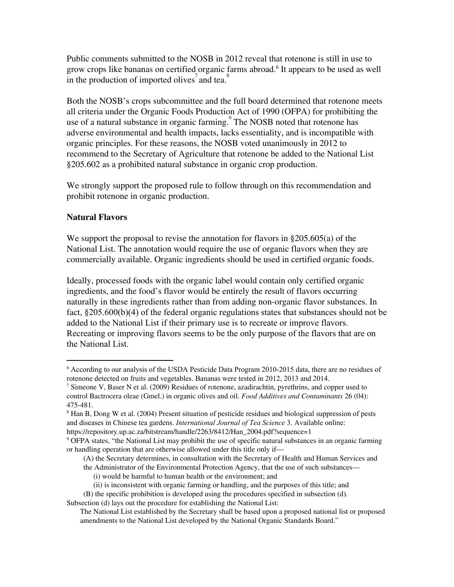Public comments submitted to the NOSB in 2012 reveal that rotenone is still in use to grow crops like bananas on certified organic farms abroad.<sup>6</sup> It appears to be used as well in the production of imported olives<sup>7</sup> and tea.<sup>8</sup>

Both the NOSB's crops subcommittee and the full board determined that rotenone meets all criteria under the Organic Foods Production Act of 1990 (OFPA) for prohibiting the use of a natural substance in organic farming. $\degree$  The NOSB noted that rotenone has adverse environmental and health impacts, lacks essentiality, and is incompatible with organic principles. For these reasons, the NOSB voted unanimously in 2012 to recommend to the Secretary of Agriculture that rotenone be added to the National List §205.602 as a prohibited natural substance in organic crop production.

We strongly support the proposed rule to follow through on this recommendation and prohibit rotenone in organic production.

## **Natural Flavors**

We support the proposal to revise the annotation for flavors in §205.605(a) of the National List. The annotation would require the use of organic flavors when they are commercially available. Organic ingredients should be used in certified organic foods.

Ideally, processed foods with the organic label would contain only certified organic ingredients, and the food's flavor would be entirely the result of flavors occurring naturally in these ingredients rather than from adding non-organic flavor substances. In fact, §205.600(b)(4) of the federal organic regulations states that substances should not be added to the National List if their primary use is to recreate or improve flavors. Recreating or improving flavors seems to be the only purpose of the flavors that are on the National List.

<sup>6</sup> According to our analysis of the USDA Pesticide Data Program 2010-2015 data, there are no residues of rotenone detected on fruits and vegetables. Bananas were tested in 2012, 2013 and 2014.

<sup>&</sup>lt;sup>7</sup> Simeone V, Baser N et al. (2009) Residues of rotenone, azadirachtin, pyrethrins, and copper used to control Bactrocera oleae (Gmel.) in organic olives and oil. *Food Additives and Contaminants* 26 (04): 475-481.

<sup>&</sup>lt;sup>8</sup> Han B, Dong W et al. (2004) Present situation of pesticide residues and biological suppression of pests and diseases in Chinese tea gardens. *International Journal of Tea Science* 3. Available online: https://repository.up.ac.za/bitstream/handle/2263/8412/Han\_2004.pdf?sequence=1

<sup>&</sup>lt;sup>9</sup> OFPA states, "the National List may prohibit the use of specific natural substances in an organic farming or handling operation that are otherwise allowed under this title only if—

<sup>(</sup>A) the Secretary determines, in consultation with the Secretary of Health and Human Services and

the Administrator of the Environmental Protection Agency, that the use of such substances—

<sup>(</sup>i) would be harmful to human health or the environment; and

<sup>(</sup>ii) is inconsistent with organic farming or handling, and the purposes of this title; and

<sup>(</sup>B) the specific prohibition is developed using the procedures specified in subsection (d).

Subsection (d) lays out the procedure for establishing the National List:

The National List established by the Secretary shall be based upon a proposed national list or proposed amendments to the National List developed by the National Organic Standards Board."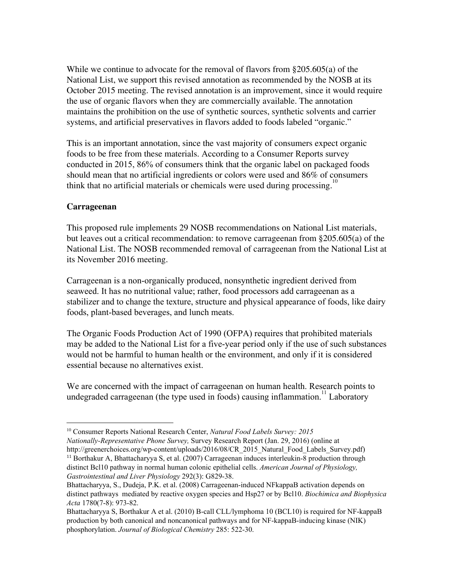While we continue to advocate for the removal of flavors from §205.605(a) of the National List, we support this revised annotation as recommended by the NOSB at its October 2015 meeting. The revised annotation is an improvement, since it would require the use of organic flavors when they are commercially available. The annotation maintains the prohibition on the use of synthetic sources, synthetic solvents and carrier systems, and artificial preservatives in flavors added to foods labeled "organic."

This is an important annotation, since the vast majority of consumers expect organic foods to be free from these materials. According to a Consumer Reports survey conducted in 2015, 86% of consumers think that the organic label on packaged foods should mean that no artificial ingredients or colors were used and 86% of consumers think that no artificial materials or chemicals were used during processing.<sup>10</sup>

#### **Carrageenan**

This proposed rule implements 29 NOSB recommendations on National List materials, but leaves out a critical recommendation: to remove carrageenan from §205.605(a) of the National List. The NOSB recommended removal of carrageenan from the National List at its November 2016 meeting.

Carrageenan is a non-organically produced, nonsynthetic ingredient derived from seaweed. It has no nutritional value; rather, food processors add carrageenan as a stabilizer and to change the texture, structure and physical appearance of foods, like dairy foods, plant-based beverages, and lunch meats.

The Organic Foods Production Act of 1990 (OFPA) requires that prohibited materials may be added to the National List for a five-year period only if the use of such substances would not be harmful to human health or the environment, and only if it is considered essential because no alternatives exist.

We are concerned with the impact of carrageenan on human health. Research points to undegraded carrageenan (the type used in foods) causing inflammation.<sup>11</sup> Laboratory

<sup>10</sup> Consumer Reports National Research Center, *Natural Food Labels Survey: 2015*

*Nationally-Representative Phone Survey,* Survey Research Report (Jan. 29, 2016) (online at http://greenerchoices.org/wp-content/uploads/2016/08/CR\_2015\_Natural\_Food\_Labels\_Survey.pdf)

 $11$  Borthakur A, Bhattacharyya S, et al. (2007) Carrageenan induces interleukin-8 production through distinct Bcl10 pathway in normal human colonic epithelial cells. *American Journal of Physiology, Gastrointestinal and Liver Physiology* 292(3): G829-38.

Bhattacharyya, S., Dudeja, P.K. et al. (2008) Carrageenan-induced NFkappaB activation depends on distinct pathways mediated by reactive oxygen species and Hsp27 or by Bcl10. *Biochimica and Biophysica Acta* 1780(7-8): 973-82.

Bhattacharyya S, Borthakur A et al. (2010) B-call CLL/lymphoma 10 (BCL10) is required for NF-kappaB production by both canonical and noncanonical pathways and for NF-kappaB-inducing kinase (NIK) phosphorylation. *Journal of Biological Chemistry* 285: 522-30.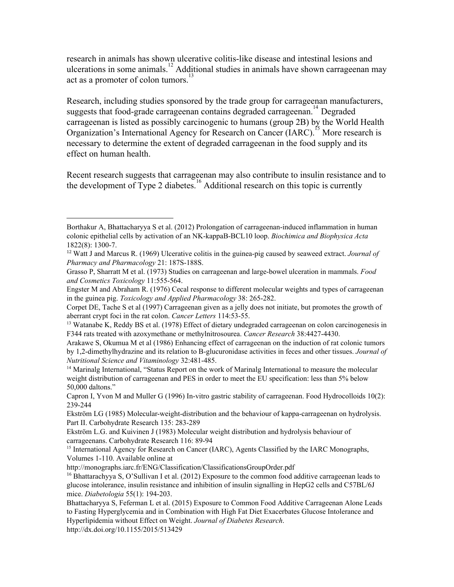research in animals has shown ulcerative colitis-like disease and intestinal lesions and ulcerations in some animals.<sup>12</sup> Additional studies in animals have shown carrageenan may act as a promoter of colon tumors.<sup>1</sup>

Research, including studies sponsored by the trade group for carrageenan manufacturers, suggests that food-grade carrageenan contains degraded carrageenan.<sup>14</sup> Degraded carrageenan is listed as possibly carcinogenic to humans (group 2B) by the World Health Organization's International Agency for Research on Cancer (IARC).<sup>15</sup> More research is necessary to determine the extent of degraded carrageenan in the food supply and its effect on human health.

Recent research suggests that carrageenan may also contribute to insulin resistance and to the development of Type 2 diabetes. Additional research on this topic is currently

Engster M and Abraham R. (1976) Cecal response to different molecular weights and types of carrageenan in the guinea pig. *Toxicology and Applied Pharmacology* 38: 265-282.

<http://dx.doi.org/10.1155/2015/513429>

Borthakur A, Bhattacharyya S et al. (2012) Prolongation of carrageenan-induced inflammation in human colonic epithelial cells by activation of an NK-kappaB-BCL10 loop. *Biochimica and Biophysica Acta* 1822(8): 1300-7.

<sup>12</sup> Watt J and Marcus R. (1969) Ulcerative colitis in the guinea-pig caused by seaweed extract. *Journal of Pharmacy and Pharmacology* 21: 187S-188S.

Grasso P, Sharratt M et al. (1973) Studies on carrageenan and large-bowel ulceration in mammals. *Food and Cosmetics Toxicology* 11:555-564.

Corpet DE, Tache S et al (1997) Carrageenan given as a jelly does not initiate, but promotes the growth of aberrant crypt foci in the rat colon. *Cancer Letters* 114:53-55.

<sup>&</sup>lt;sup>13</sup> Watanabe K, Reddy BS et al. (1978) Effect of dietary undegraded carrageenan on colon carcinogenesis in F344 rats treated with azoxymethane or methylnitrosourea. *Cancer Research* 38:4427-4430.

Arakawe S, Okumua M et al (1986) Enhancing effect of carrageenan on the induction of rat colonic tumors by 1,2-dimethylhydrazine and its relation to B-glucuronidase activities in feces and other tissues. *Journal of Nutritional Science and Vitaminology* 32:481-485.

<sup>&</sup>lt;sup>14</sup> Marinalg International, "Status Report on the work of Marinalg International to measure the molecular weight distribution of carrageenan and PES in order to meet the EU specification: less than 5% below 50,000 daltons."

Capron I, Yvon M and Muller G (1996) In-vitro gastric stability of carrageenan. Food Hydrocolloids 10(2): 239-244

Ekström LG (1985) Molecular-weight-distribution and the behaviour of kappa-carrageenan on hydrolysis. Part II. Carbohydrate Research 135: 283-289

Ekström L.G. and Kuivinen J (1983) Molecular weight distribution and hydrolysis behaviour of carrageenans. Carbohydrate Research 116: 89-94

<sup>&</sup>lt;sup>15</sup> International Agency for Research on Cancer (IARC), Agents Classified by the IARC Monographs, Volumes 1-110. Available online at

http://monographs.iarc.fr/ENG/Classification/ClassificationsGroupOrder.pdf

<sup>16</sup> Bhattarachyya S, O'Sullivan I et al. (2012) Exposure to the common food additive carrageenan leads to glucose intolerance, insulin resistance and inhibition of insulin signalling in HepG2 cells and C57BL/6J mice. *Diabetologia* 55(1): 194-203.

Bhattacharyya S, Feferman L et al. (2015) Exposure to Common Food Additive Carrageenan Alone Leads to Fasting Hyperglycemia and in Combination with High Fat Diet Exacerbates Glucose Intolerance and Hyperlipidemia without Effect on Weight. *Journal of Diabetes Research*.